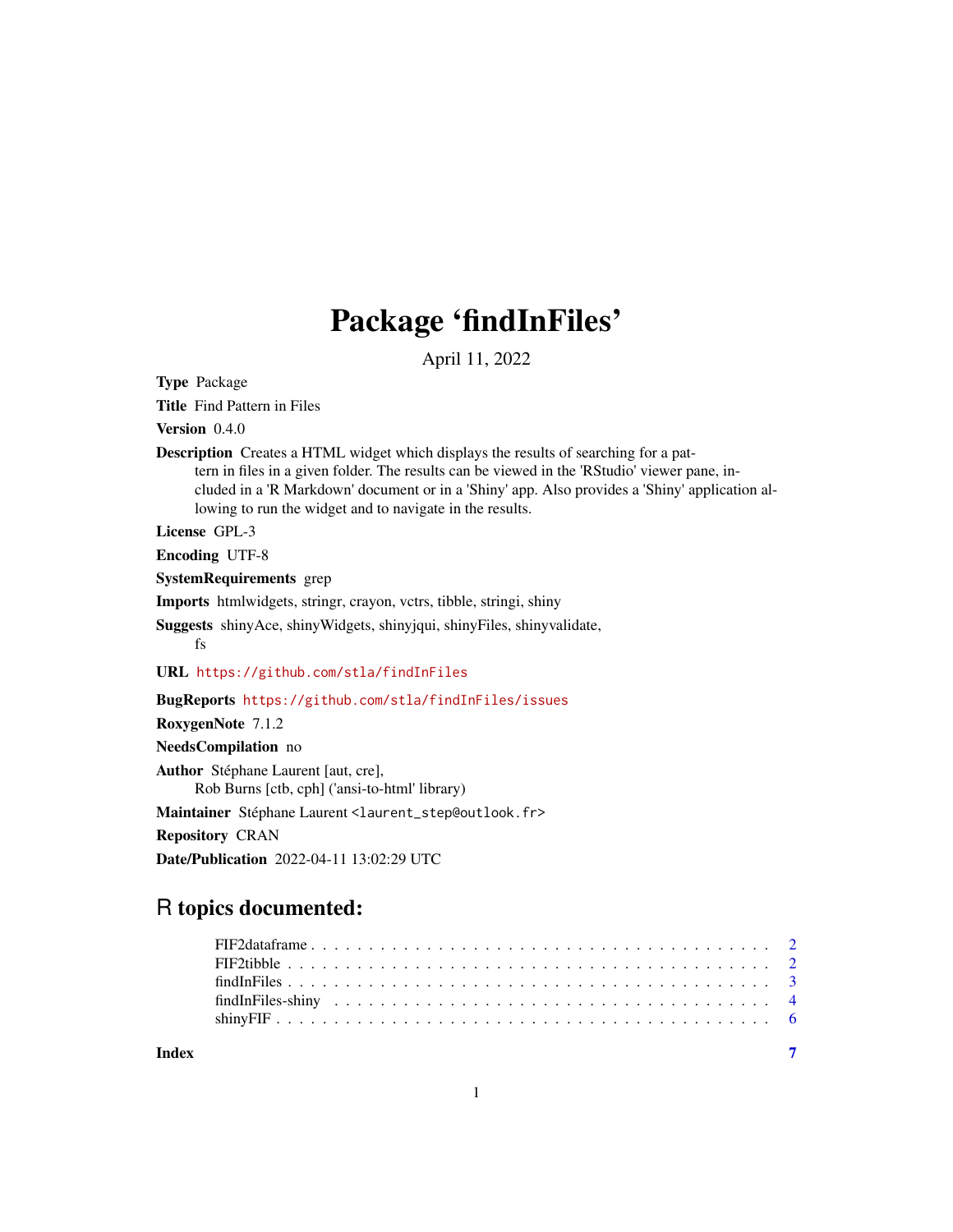## Package 'findInFiles'

April 11, 2022

Type Package

Title Find Pattern in Files

Version 0.4.0

Description Creates a HTML widget which displays the results of searching for a pattern in files in a given folder. The results can be viewed in the 'RStudio' viewer pane, included in a 'R Markdown' document or in a 'Shiny' app. Also provides a 'Shiny' application allowing to run the widget and to navigate in the results.

License GPL-3

Encoding UTF-8

SystemRequirements grep

Imports htmlwidgets, stringr, crayon, vctrs, tibble, stringi, shiny

Suggests shinyAce, shinyWidgets, shinyjqui, shinyFiles, shinyvalidate, fs

URL <https://github.com/stla/findInFiles>

BugReports <https://github.com/stla/findInFiles/issues>

RoxygenNote 7.1.2 NeedsCompilation no Author Stéphane Laurent [aut, cre],

Rob Burns [ctb, cph] ('ansi-to-html' library)

Maintainer Stéphane Laurent <laurent\_step@outlook.fr>

Repository CRAN

Date/Publication 2022-04-11 13:02:29 UTC

### R topics documented:

| Index |  |
|-------|--|
|       |  |
|       |  |
|       |  |
|       |  |
|       |  |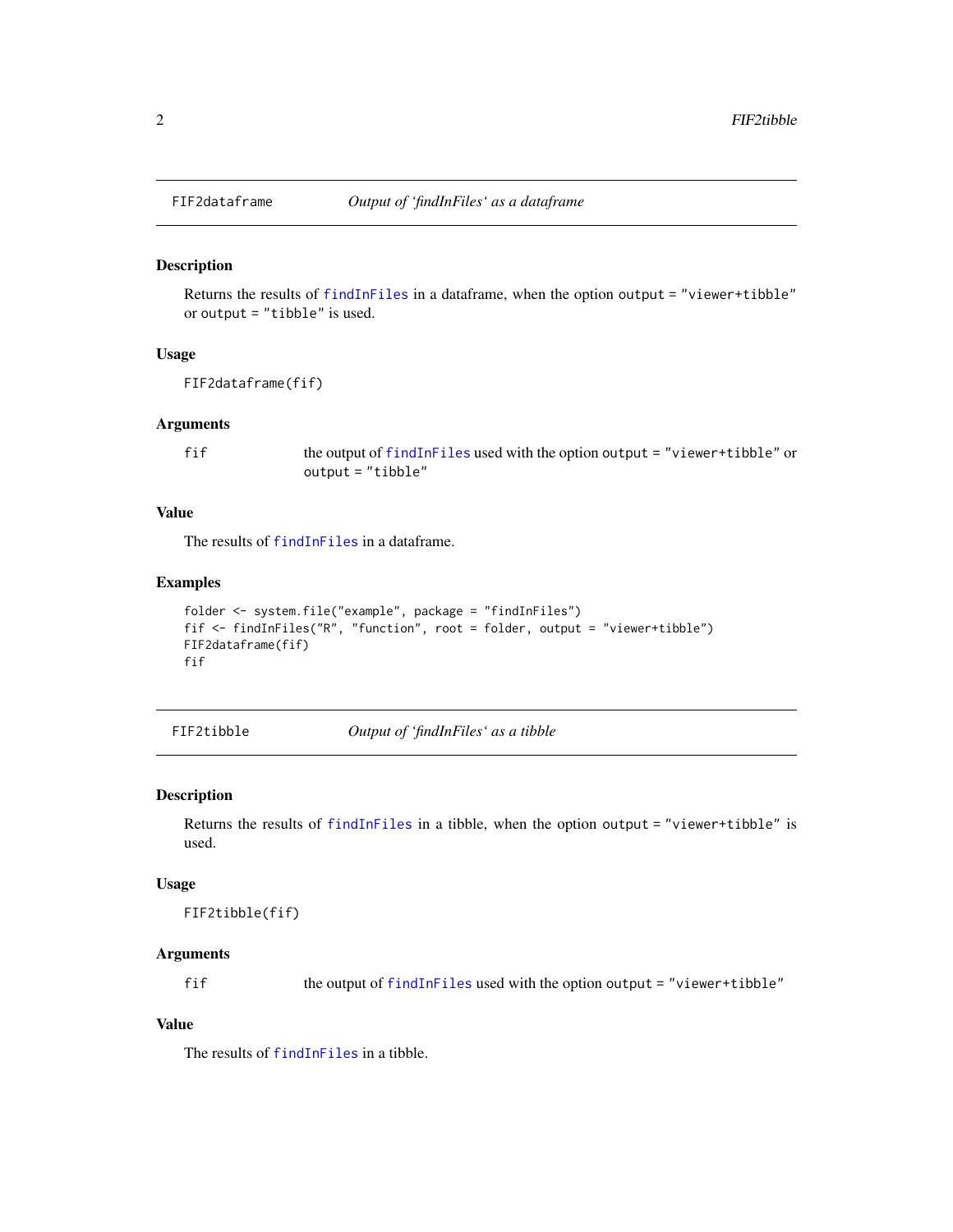#### Description

Returns the results of [findInFiles](#page-2-1) in a dataframe, when the option output = "viewer+tibble" or output = "tibble" is used.

#### Usage

FIF2dataframe(fif)

#### Arguments

fif the output of [findInFiles](#page-2-1) used with the option output = "viewer+tibble" or output = "tibble"

#### Value

The results of [findInFiles](#page-2-1) in a dataframe.

#### Examples

```
folder <- system.file("example", package = "findInFiles")
fif <- findInFiles("R", "function", root = folder, output = "viewer+tibble")
FIF2dataframe(fif)
fif
```
FIF2tibble *Output of 'findInFiles' as a tibble*

#### Description

Returns the results of [findInFiles](#page-2-1) in a tibble, when the option output = "viewer+tibble" is used.

#### Usage

FIF2tibble(fif)

#### Arguments

fif the output of [findInFiles](#page-2-1) used with the option output = "viewer+tibble"

#### Value

The results of [findInFiles](#page-2-1) in a tibble.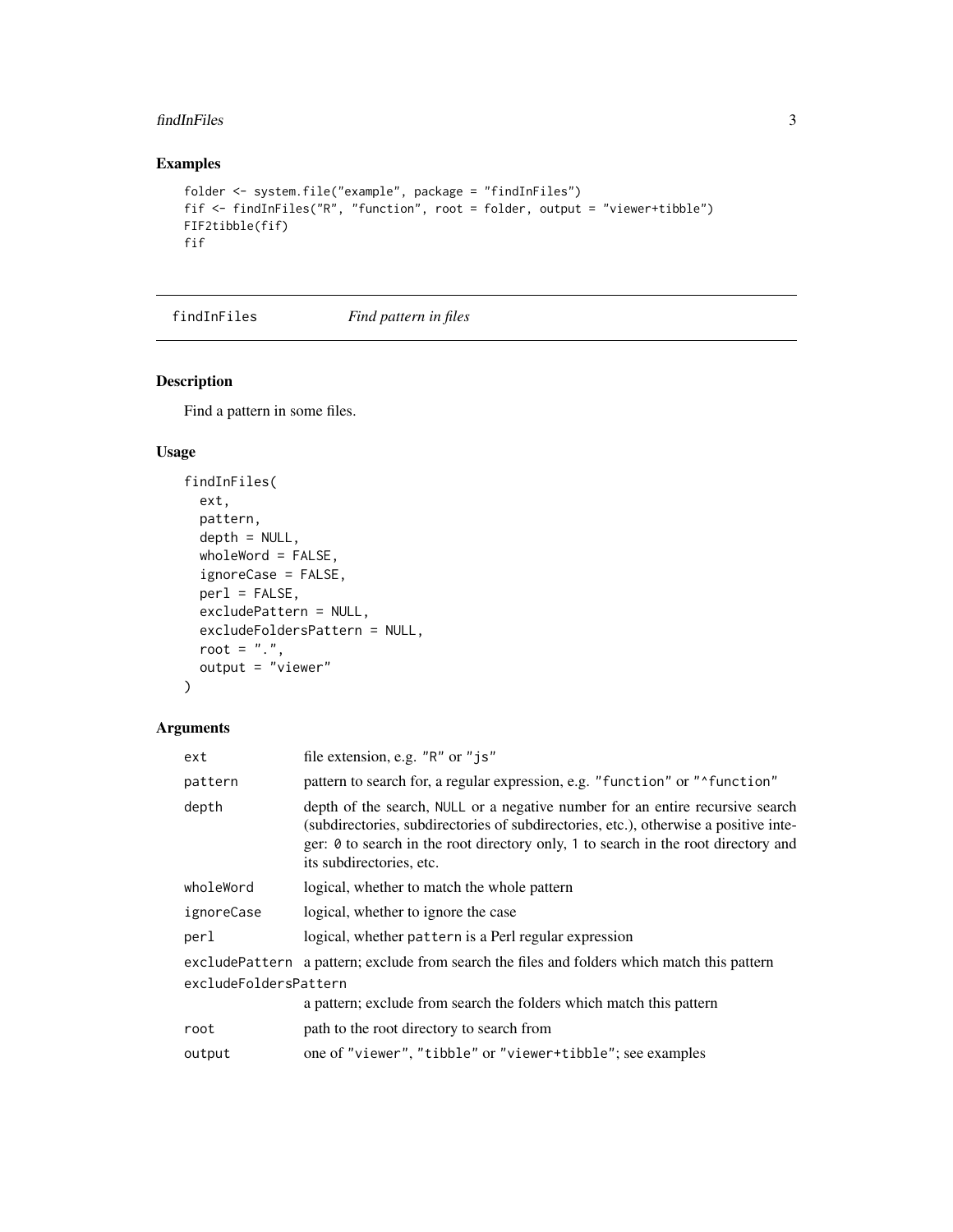#### <span id="page-2-0"></span>findInFiles 3

#### Examples

```
folder <- system.file("example", package = "findInFiles")
fif <- findInFiles("R", "function", root = folder, output = "viewer+tibble")
FIF2tibble(fif)
fif
```
<span id="page-2-1"></span>findInFiles *Find pattern in files*

#### Description

Find a pattern in some files.

#### Usage

```
findInFiles(
  ext,
 pattern,
  depth = NULL,wholeWord = FALSE,
  ignoreCase = FALSE,
 per1 = FALSE,excludePattern = NULL,
  excludeFoldersPattern = NULL,
 root = ".",
 output = "viewer"
\mathcal{L}
```
#### Arguments

| ext                   | file extension, e.g. "R" or "js"                                                                                                                                                                                                                                                        |
|-----------------------|-----------------------------------------------------------------------------------------------------------------------------------------------------------------------------------------------------------------------------------------------------------------------------------------|
| pattern               | pattern to search for, a regular expression, e.g. "function" or "^function"                                                                                                                                                                                                             |
| depth                 | depth of the search, NULL or a negative number for an entire recursive search<br>(subdirectories, subdirectories of subdirectories, etc.), otherwise a positive inte-<br>ger: 0 to search in the root directory only, 1 to search in the root directory and<br>its subdirectories, etc. |
| wholeWord             | logical, whether to match the whole pattern                                                                                                                                                                                                                                             |
| ignoreCase            | logical, whether to ignore the case                                                                                                                                                                                                                                                     |
| perl                  | logical, whether pattern is a Perl regular expression                                                                                                                                                                                                                                   |
|                       | excludePattern a pattern; exclude from search the files and folders which match this pattern                                                                                                                                                                                            |
| excludeFoldersPattern |                                                                                                                                                                                                                                                                                         |
|                       | a pattern; exclude from search the folders which match this pattern                                                                                                                                                                                                                     |
| root                  | path to the root directory to search from                                                                                                                                                                                                                                               |
| output                | one of "viewer", "tibble" or "viewer+tibble"; see examples                                                                                                                                                                                                                              |
|                       |                                                                                                                                                                                                                                                                                         |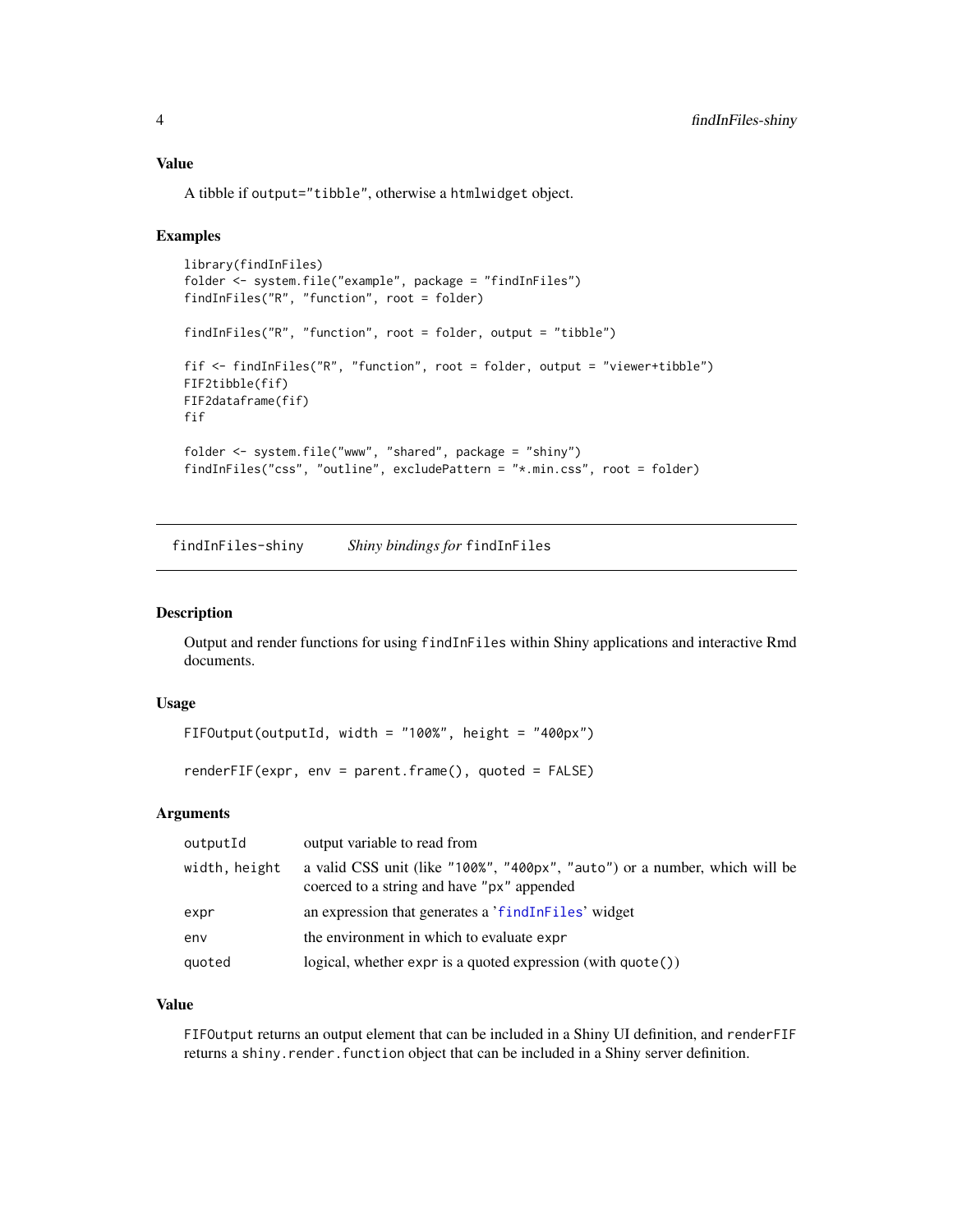<span id="page-3-0"></span>A tibble if output="tibble", otherwise a htmlwidget object.

#### Examples

```
library(findInFiles)
folder <- system.file("example", package = "findInFiles")
findInFiles("R", "function", root = folder)
findInFiles("R", "function", root = folder, output = "tibble")
fif <- findInFiles("R", "function", root = folder, output = "viewer+tibble")
FIF2tibble(fif)
FIF2dataframe(fif)
fif
folder <- system.file("www", "shared", package = "shiny")
findInFiles("css", "outline", excludePattern = "*.min.css", root = folder)
```
findInFiles-shiny *Shiny bindings for* findInFiles

#### Description

Output and render functions for using findInFiles within Shiny applications and interactive Rmd documents.

#### Usage

FIFOutput(outputId, width = "100%", height = "400px")

renderFIF(expr, env = parent.frame(), quoted = FALSE)

#### **Arguments**

| outputId      | output variable to read from                                                                                             |
|---------------|--------------------------------------------------------------------------------------------------------------------------|
| width, height | a valid CSS unit (like "100%", "400px", "auto") or a number, which will be<br>coerced to a string and have "px" appended |
| expr          | an expression that generates a 'findInFiles' widget                                                                      |
| env           | the environment in which to evaluate expr                                                                                |
| quoted        | logical, whether expr is a quoted expression $(\text{with quote}()$ )                                                    |

#### Value

FIFOutput returns an output element that can be included in a Shiny UI definition, and renderFIF returns a shiny.render.function object that can be included in a Shiny server definition.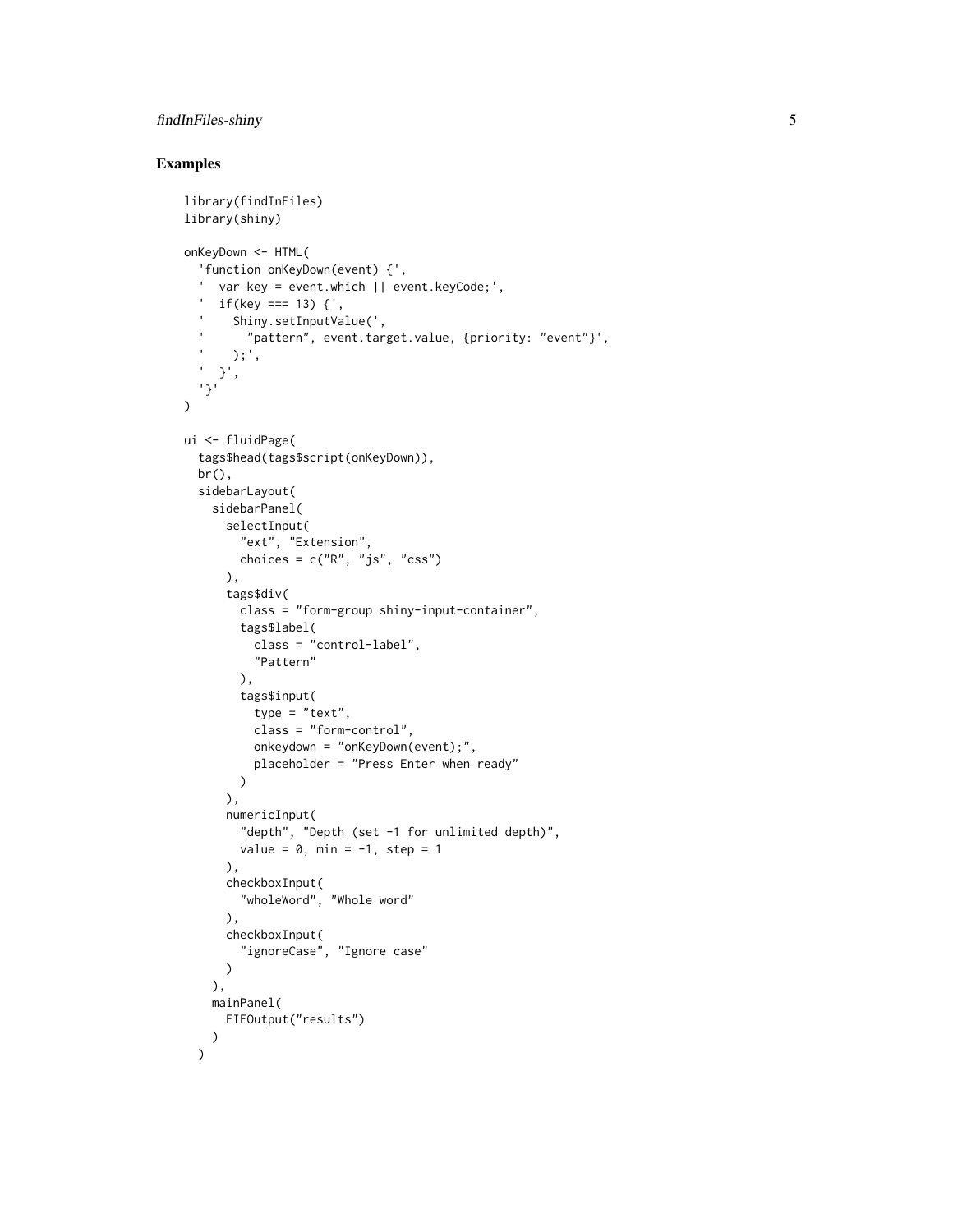#### findInFiles-shiny 5

#### Examples

```
library(findInFiles)
library(shiny)
onKeyDown <- HTML(
  'function onKeyDown(event) {',
  ' var key = event.which || event.keyCode;',
  ' if(key === 13) {',
        Shiny.setInputValue(',
          "pattern", event.target.value, {priority: "event"}',
  ' );',
  ' }',
  '}'
)
ui <- fluidPage(
  tags$head(tags$script(onKeyDown)),
  br(),
  sidebarLayout(
    sidebarPanel(
      selectInput(
       "ext", "Extension",
       choices = c("R", "js", "CSS")),
      tags$div(
       class = "form-group shiny-input-container",
        tags$label(
          class = "control-label",
          "Pattern"
        ),
        tags$input(
          type = "text",
          class = "form-control",
          onkeydown = "onKeyDown(event);",
          placeholder = "Press Enter when ready"
       )
      ),
      numericInput(
        "depth", "Depth (set -1 for unlimited depth)",
        value = 0, min = -1, step = 1
      ),
      checkboxInput(
        "wholeWord", "Whole word"
      ),
      checkboxInput(
        "ignoreCase", "Ignore case"
      )
   ),
   mainPanel(
      FIFOutput("results")
   )
  \mathcal{L}
```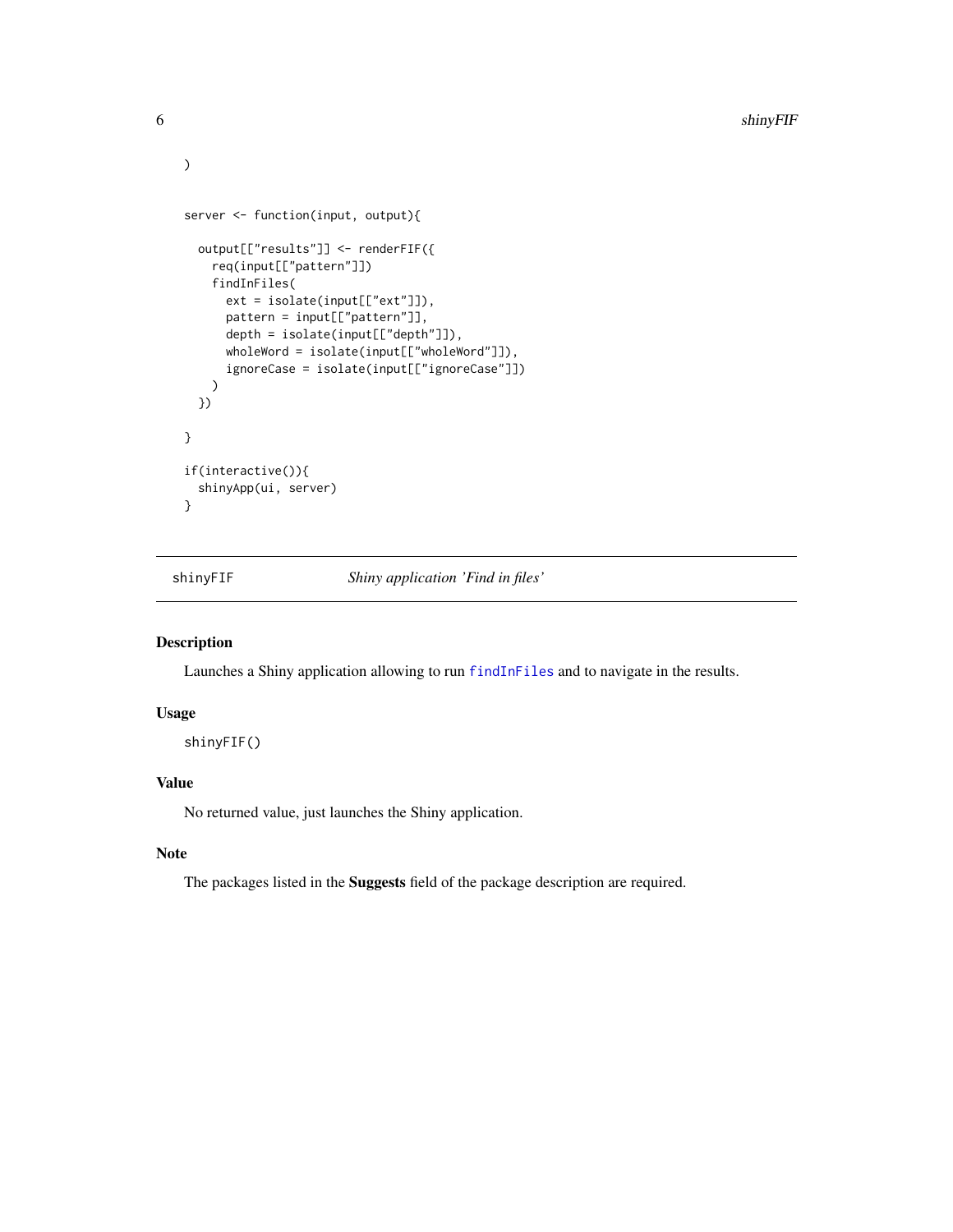```
server <- function(input, output){
 output[["results"]] <- renderFIF({
   req(input[["pattern"]])
   findInFiles(
      ext = isolate(input[["ext"]]),
      pattern = input[["pattern"]],
      depth = isolate(input[["depth"]]),
      wholeWord = isolate(input[["wholeWord"]]),
      ignoreCase = isolate(input[["ignoreCase"]])
   \lambda})
}
if(interactive()){
 shinyApp(ui, server)
}
```
shinyFIF *Shiny application 'Find in files'*

#### Description

Launches a Shiny application allowing to run [findInFiles](#page-2-1) and to navigate in the results.

#### Usage

shinyFIF()

#### Value

No returned value, just launches the Shiny application.

#### Note

The packages listed in the Suggests field of the package description are required.

<span id="page-5-0"></span>)